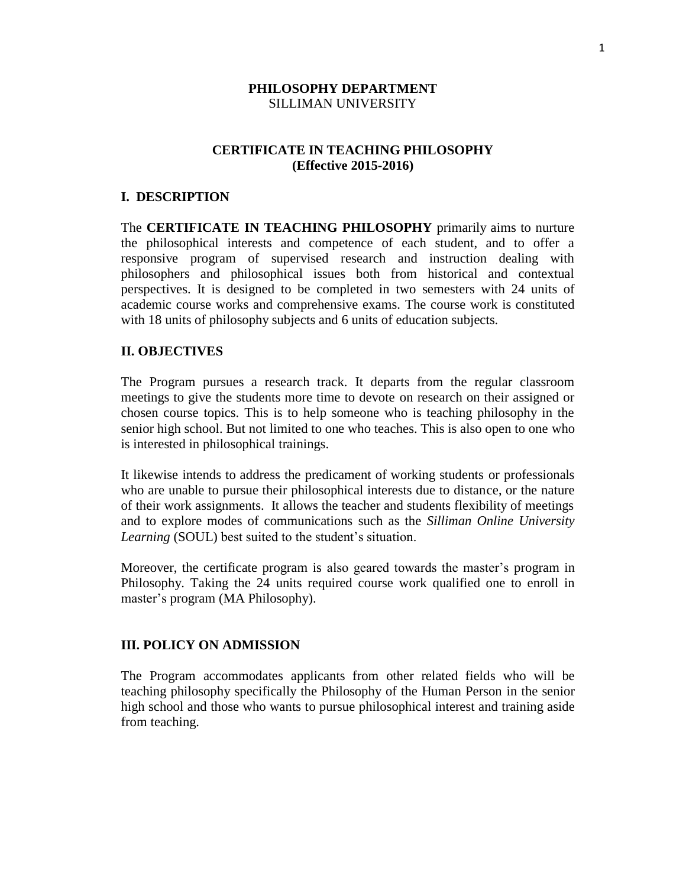### **PHILOSOPHY DEPARTMENT** SILLIMAN UNIVERSITY

# **CERTIFICATE IN TEACHING PHILOSOPHY (Effective 2015-2016)**

#### **I. DESCRIPTION**

The **CERTIFICATE IN TEACHING PHILOSOPHY** primarily aims to nurture the philosophical interests and competence of each student, and to offer a responsive program of supervised research and instruction dealing with philosophers and philosophical issues both from historical and contextual perspectives. It is designed to be completed in two semesters with 24 units of academic course works and comprehensive exams. The course work is constituted with 18 units of philosophy subjects and 6 units of education subjects.

### **II. OBJECTIVES**

The Program pursues a research track. It departs from the regular classroom meetings to give the students more time to devote on research on their assigned or chosen course topics. This is to help someone who is teaching philosophy in the senior high school. But not limited to one who teaches. This is also open to one who is interested in philosophical trainings.

It likewise intends to address the predicament of working students or professionals who are unable to pursue their philosophical interests due to distance, or the nature of their work assignments. It allows the teacher and students flexibility of meetings and to explore modes of communications such as the *Silliman Online University Learning* (SOUL) best suited to the student's situation.

Moreover, the certificate program is also geared towards the master's program in Philosophy. Taking the 24 units required course work qualified one to enroll in master's program (MA Philosophy).

#### **III. POLICY ON ADMISSION**

The Program accommodates applicants from other related fields who will be teaching philosophy specifically the Philosophy of the Human Person in the senior high school and those who wants to pursue philosophical interest and training aside from teaching.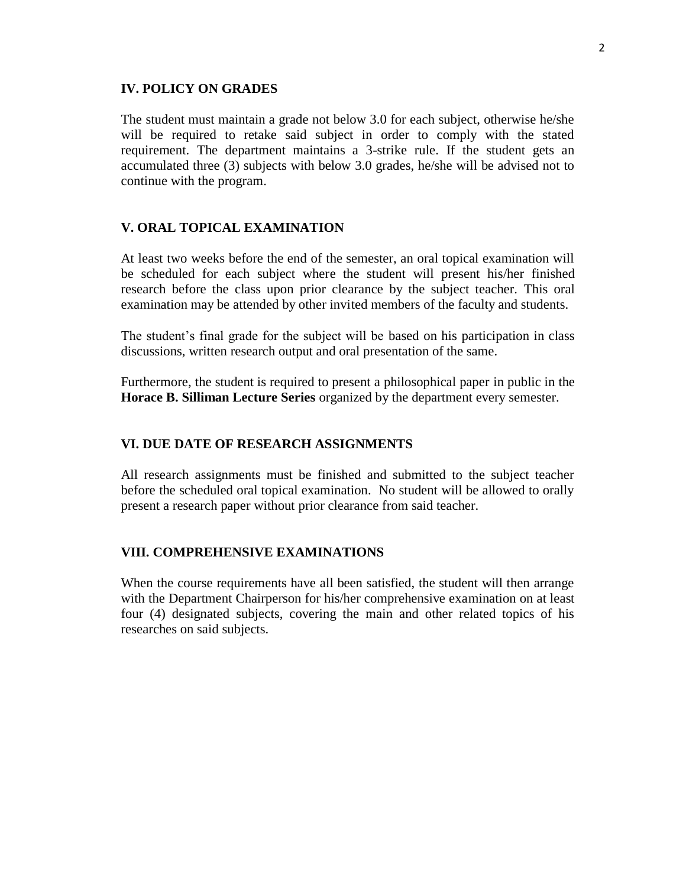#### **IV. POLICY ON GRADES**

The student must maintain a grade not below 3.0 for each subject, otherwise he/she will be required to retake said subject in order to comply with the stated requirement. The department maintains a 3-strike rule. If the student gets an accumulated three (3) subjects with below 3.0 grades, he/she will be advised not to continue with the program.

#### **V. ORAL TOPICAL EXAMINATION**

At least two weeks before the end of the semester, an oral topical examination will be scheduled for each subject where the student will present his/her finished research before the class upon prior clearance by the subject teacher. This oral examination may be attended by other invited members of the faculty and students.

The student's final grade for the subject will be based on his participation in class discussions, written research output and oral presentation of the same.

Furthermore, the student is required to present a philosophical paper in public in the **Horace B. Silliman Lecture Series** organized by the department every semester.

#### **VI. DUE DATE OF RESEARCH ASSIGNMENTS**

All research assignments must be finished and submitted to the subject teacher before the scheduled oral topical examination. No student will be allowed to orally present a research paper without prior clearance from said teacher.

#### **VIII. COMPREHENSIVE EXAMINATIONS**

When the course requirements have all been satisfied, the student will then arrange with the Department Chairperson for his/her comprehensive examination on at least four (4) designated subjects, covering the main and other related topics of his researches on said subjects.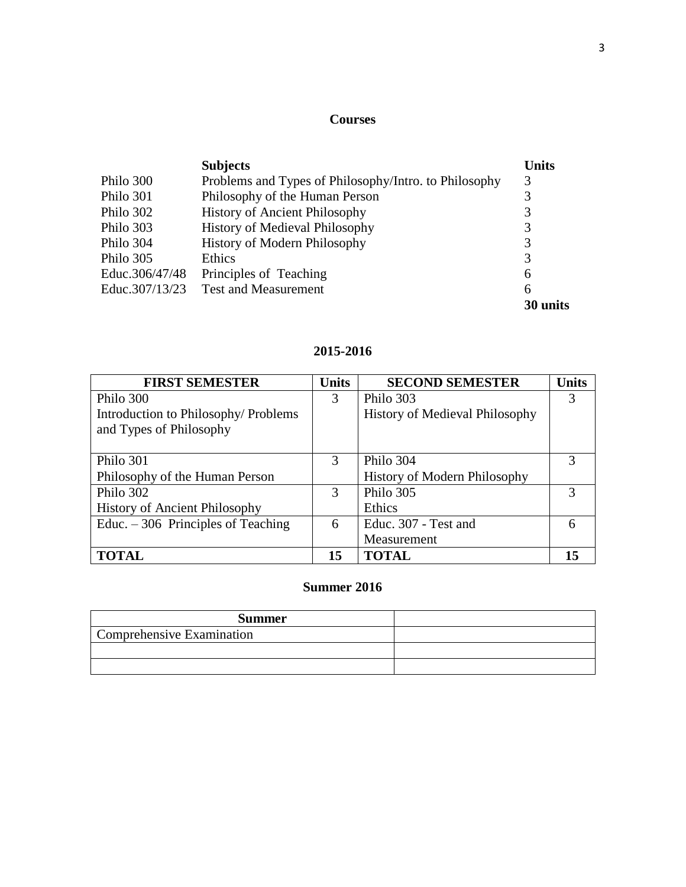# **Courses**

|                | <b>Subjects</b>                                       | Units    |
|----------------|-------------------------------------------------------|----------|
| Philo 300      | Problems and Types of Philosophy/Intro. to Philosophy | 3        |
| Philo 301      | Philosophy of the Human Person                        | 3        |
| Philo 302      | <b>History of Ancient Philosophy</b>                  | 3        |
| Philo 303      | <b>History of Medieval Philosophy</b>                 | 3        |
| Philo 304      | <b>History of Modern Philosophy</b>                   | 3        |
| Philo 305      | Ethics                                                | 3        |
| Educ.306/47/48 | Principles of Teaching                                | 6        |
| Educ.307/13/23 | <b>Test and Measurement</b>                           | 6        |
|                |                                                       | 30 units |

# **2015-2016**

| <b>FIRST SEMESTER</b>                | <b>Units</b> | <b>SECOND SEMESTER</b>                | <b>Units</b> |
|--------------------------------------|--------------|---------------------------------------|--------------|
| Philo 300                            | 3            | Philo 303                             | 3            |
| Introduction to Philosophy/Problems  |              | <b>History of Medieval Philosophy</b> |              |
| and Types of Philosophy              |              |                                       |              |
|                                      |              |                                       |              |
| Philo 301                            | 3            | Philo 304                             | 3            |
| Philosophy of the Human Person       |              | History of Modern Philosophy          |              |
| Philo 302                            | 3            | Philo 305                             | 3            |
| <b>History of Ancient Philosophy</b> |              | Ethics                                |              |
| Educ. $-306$ Principles of Teaching  | 6            | Educ. 307 - Test and                  |              |
|                                      |              | Measurement                           |              |
| <b>TOTAL</b>                         | 15           | <b>TOTAL</b>                          |              |

# **Summer 2016**

| <b>Summer</b>             |  |
|---------------------------|--|
| Comprehensive Examination |  |
|                           |  |
|                           |  |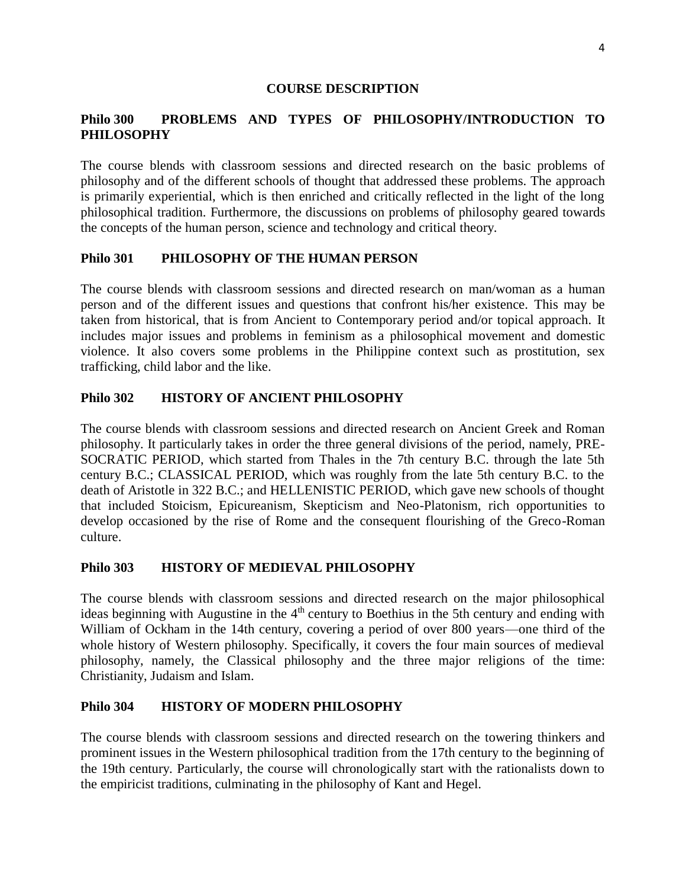### **COURSE DESCRIPTION**

# **Philo 300 PROBLEMS AND TYPES OF PHILOSOPHY/INTRODUCTION TO PHILOSOPHY**

The course blends with classroom sessions and directed research on the basic problems of philosophy and of the different schools of thought that addressed these problems. The approach is primarily experiential, which is then enriched and critically reflected in the light of the long philosophical tradition. Furthermore, the discussions on problems of philosophy geared towards the concepts of the human person, science and technology and critical theory.

## **Philo 301 PHILOSOPHY OF THE HUMAN PERSON**

The course blends with classroom sessions and directed research on man/woman as a human person and of the different issues and questions that confront his/her existence. This may be taken from historical, that is from Ancient to Contemporary period and/or topical approach. It includes major issues and problems in feminism as a philosophical movement and domestic violence. It also covers some problems in the Philippine context such as prostitution, sex trafficking, child labor and the like.

## **Philo 302 HISTORY OF ANCIENT PHILOSOPHY**

The course blends with classroom sessions and directed research on Ancient Greek and Roman philosophy. It particularly takes in order the three general divisions of the period, namely, PRE-SOCRATIC PERIOD, which started from Thales in the 7th century B.C. through the late 5th century B.C.; CLASSICAL PERIOD, which was roughly from the late 5th century B.C. to the death of Aristotle in 322 B.C.; and HELLENISTIC PERIOD, which gave new schools of thought that included Stoicism, Epicureanism, Skepticism and Neo-Platonism, rich opportunities to develop occasioned by the rise of Rome and the consequent flourishing of the Greco-Roman culture.

## **Philo 303 HISTORY OF MEDIEVAL PHILOSOPHY**

The course blends with classroom sessions and directed research on the major philosophical ideas beginning with Augustine in the  $4<sup>th</sup>$  century to Boethius in the 5th century and ending with William of Ockham in the 14th century, covering a period of over 800 years—one third of the whole history of Western philosophy. Specifically, it covers the four main sources of medieval philosophy, namely, the Classical philosophy and the three major religions of the time: Christianity, Judaism and Islam.

## **Philo 304 HISTORY OF MODERN PHILOSOPHY**

The course blends with classroom sessions and directed research on the towering thinkers and prominent issues in the Western philosophical tradition from the 17th century to the beginning of the 19th century. Particularly, the course will chronologically start with the rationalists down to the empiricist traditions, culminating in the philosophy of Kant and Hegel.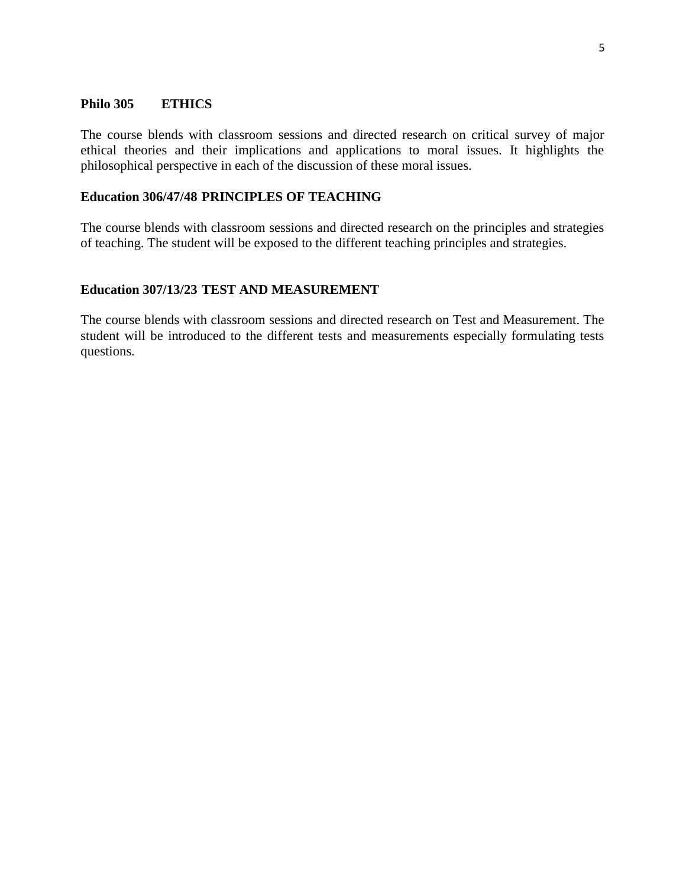#### **Philo 305 ETHICS**

The course blends with classroom sessions and directed research on critical survey of major ethical theories and their implications and applications to moral issues. It highlights the philosophical perspective in each of the discussion of these moral issues.

### **Education 306/47/48 PRINCIPLES OF TEACHING**

The course blends with classroom sessions and directed research on the principles and strategies of teaching. The student will be exposed to the different teaching principles and strategies.

### **Education 307/13/23 TEST AND MEASUREMENT**

The course blends with classroom sessions and directed research on Test and Measurement. The student will be introduced to the different tests and measurements especially formulating tests questions.